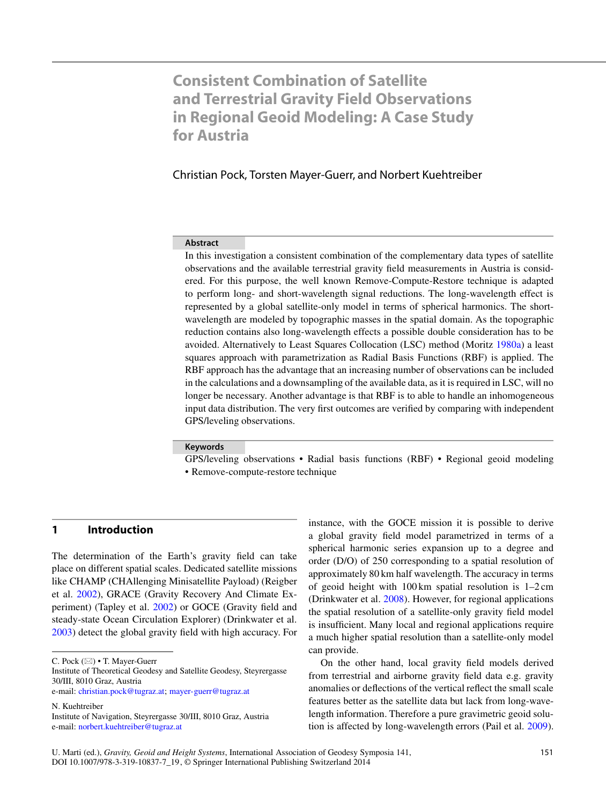# **Consistent Combination of Satellite and Terrestrial Gravity Field Observations in Regional Geoid Modeling: A Case Study for Austria**

# Christian Pock, Torsten Mayer-Guerr, and Norbert Kuehtreiber

#### **Abstract**

In this investigation a consistent combination of the complementary data types of satellite observations and the available terrestrial gravity field measurements in Austria is considered. For this purpose, the well known Remove-Compute-Restore technique is adapted to perform long- and short-wavelength signal reductions. The long-wavelength effect is represented by a global satellite-only model in terms of spherical harmonics. The shortwavelength are modeled by topographic masses in the spatial domain. As the topographic reduction contains also long-wavelength effects a possible double consideration has to be avoided. Alternatively to Least Squares Collocation (LSC) method (Moritz [1980a\)](#page-5-0) a least squares approach with parametrization as Radial Basis Functions (RBF) is applied. The RBF approach has the advantage that an increasing number of observations can be included in the calculations and a downsampling of the available data, as it is required in LSC, will no longer be necessary. Another advantage is that RBF is to able to handle an inhomogeneous input data distribution. The very first outcomes are verified by comparing with independent GPS/leveling observations.

#### **Keywords**

GPS/leveling observations • Radial basis functions (RBF) • Regional geoid modeling • Remove-compute-restore technique

# **1 Introduction**

The determination of the Earth's gravity field can take place on different spatial scales. Dedicated satellite missions like CHAMP (CHAllenging Minisatellite Payload) (Reigber et al. [2002\)](#page-5-1), GRACE (Gravity Recovery And Climate Experiment) (Tapley et al. [2002\)](#page-5-2) or GOCE (Gravity field and steady-state Ocean Circulation Explorer) (Drinkwater et al. [2003\)](#page-5-3) detect the global gravity field with high accuracy. For

N. Kuehtreiber

instance, with the GOCE mission it is possible to derive a global gravity field model parametrized in terms of a spherical harmonic series expansion up to a degree and order (D/O) of 250 corresponding to a spatial resolution of approximately 80 km half wavelength. The accuracy in terms of geoid height with 100 km spatial resolution is 1–2 cm (Drinkwater et al. [2008\)](#page-5-4). However, for regional applications the spatial resolution of a satellite-only gravity field model is insufficient. Many local and regional applications require a much higher spatial resolution than a satellite-only model can provide.

On the other hand, local gravity field models derived from terrestrial and airborne gravity field data e.g. gravity anomalies or deflections of the vertical reflect the small scale features better as the satellite data but lack from long-wavelength information. Therefore a pure gravimetric geoid solution is affected by long-wavelength errors (Pail et al. [2009\)](#page-5-5).

C. Pock ( $\boxtimes$ ) • T. Mayer-Guerr

Institute of Theoretical Geodesy and Satellite Geodesy, Steyrergasse 30/III, 8010 Graz, Austria

e-mail: [christian.pock@tugraz.at;](mailto:christian.pock@tugraz.at) [mayer-guerr@tugraz.at](mailto:mayer-guerr@tugraz.at)

Institute of Navigation, Steyrergasse 30/III, 8010 Graz, Austria e-mail: [norbert.kuehtreiber@tugraz.at](mailto:norbert.kuehtreiber@tugraz.at)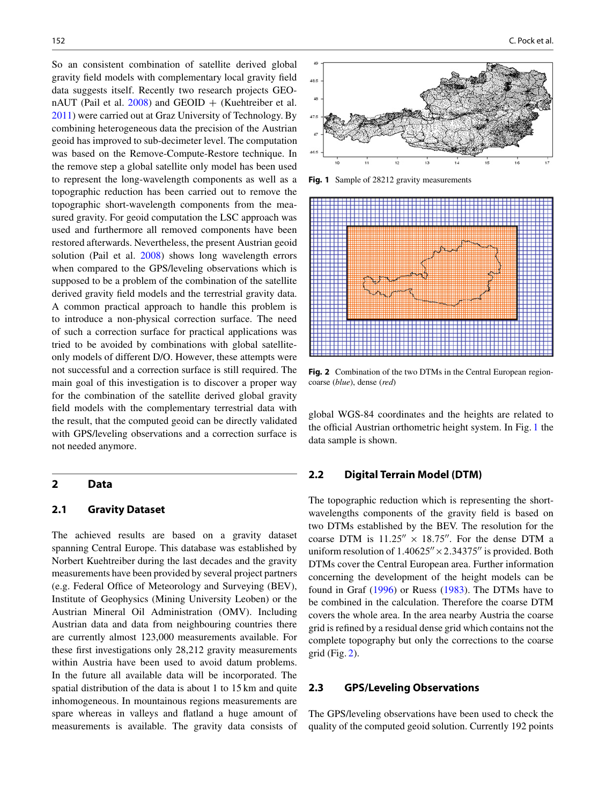So an consistent combination of satellite derived global gravity field models with complementary local gravity field data suggests itself. Recently two research projects GEOnAUT (Pail et al.  $2008$ ) and GEOID + (Kuehtreiber et al. [2011\)](#page-5-7) were carried out at Graz University of Technology. By combining heterogeneous data the precision of the Austrian geoid has improved to sub-decimeter level. The computation was based on the Remove-Compute-Restore technique. In the remove step a global satellite only model has been used to represent the long-wavelength components as well as a topographic reduction has been carried out to remove the topographic short-wavelength components from the measured gravity. For geoid computation the LSC approach was used and furthermore all removed components have been restored afterwards. Nevertheless, the present Austrian geoid solution (Pail et al. [2008\)](#page-5-6) shows long wavelength errors when compared to the GPS/leveling observations which is supposed to be a problem of the combination of the satellite derived gravity field models and the terrestrial gravity data. A common practical approach to handle this problem is to introduce a non-physical correction surface. The need of such a correction surface for practical applications was tried to be avoided by combinations with global satelliteonly models of different D/O. However, these attempts were not successful and a correction surface is still required. The main goal of this investigation is to discover a proper way for the combination of the satellite derived global gravity field models with the complementary terrestrial data with the result, that the computed geoid can be directly validated with GPS/leveling observations and a correction surface is not needed anymore.

# **2 Data**

# <span id="page-1-3"></span>**2.1 Gravity Dataset**

The achieved results are based on a gravity dataset spanning Central Europe. This database was established by Norbert Kuehtreiber during the last decades and the gravity measurements have been provided by several project partners (e.g. Federal Office of Meteorology and Surveying (BEV), Institute of Geophysics (Mining University Leoben) or the Austrian Mineral Oil Administration (OMV). Including Austrian data and data from neighbouring countries there are currently almost 123,000 measurements available. For these first investigations only 28,212 gravity measurements within Austria have been used to avoid datum problems. In the future all available data will be incorporated. The spatial distribution of the data is about 1 to 15 km and quite inhomogeneous. In mountainous regions measurements are spare whereas in valleys and flatland a huge amount of measurements is available. The gravity data consists of



<span id="page-1-0"></span>**Fig. 1** Sample of 28212 gravity measurements



<span id="page-1-1"></span>**Fig. 2** Combination of the two DTMs in the Central European regioncoarse (*blue*), dense (*red*)

global WGS-84 coordinates and the heights are related to the official Austrian orthometric height system. In Fig. [1](#page-1-0) the data sample is shown.

#### <span id="page-1-2"></span>**2.2 Digital Terrain Model (DTM)**

The topographic reduction which is representing the shortwavelengths components of the gravity field is based on two DTMs established by the BEV. The resolution for the coarse DTM is  $11.25'' \times 18.75''$ . For the dense DTM a uniform resolution of  $1.40625'' \times 2.34375''$  is provided. Both DTMs cover the Central European area. Further information concerning the development of the height models can be found in Graf [\(1996\)](#page-5-8) or Ruess [\(1983\)](#page-5-9). The DTMs have to be combined in the calculation. Therefore the coarse DTM covers the whole area. In the area nearby Austria the coarse grid is refined by a residual dense grid which contains not the complete topography but only the corrections to the coarse  $grid$  (Fig. [2\)](#page-1-1).

## <span id="page-1-4"></span>**2.3 GPS/Leveling Observations**

The GPS/leveling observations have been used to check the quality of the computed geoid solution. Currently 192 points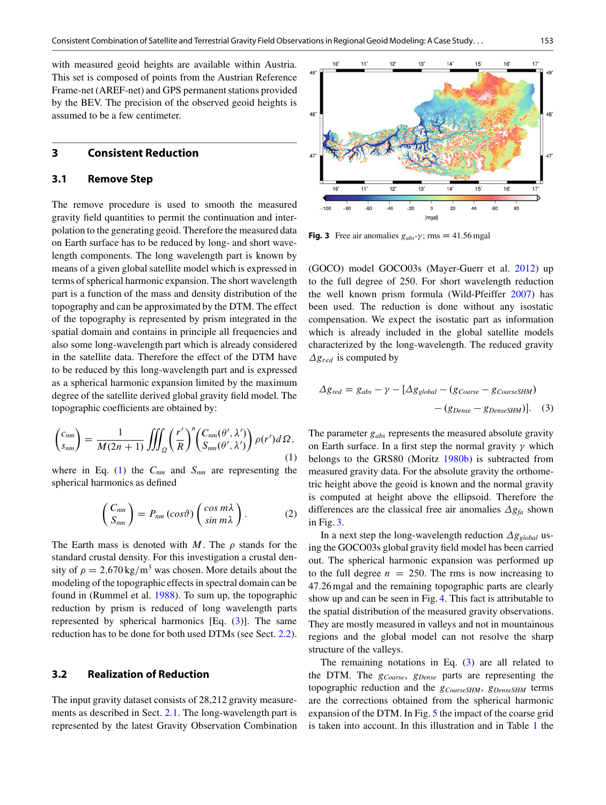with measured geoid heights are available within Austria. This set is composed of points from the Austrian Reference Frame-net (AREF-net) and GPS permanent stations provided by the BEV. The precision of the observed geoid heights is assumed to be a few centimeter.

## **3 Consistent Reduction**

## **3.1 Remove Step**

The remove procedure is used to smooth the measured gravity field quantities to permit the continuation and interpolation to the generating geoid. Therefore the measured data on Earth surface has to be reduced by long- and short wavelength components. The long wavelength part is known by means of a given global satellite model which is expressed in terms of spherical harmonic expansion. The short wavelength part is a function of the mass and density distribution of the topography and can be approximated by the DTM. The effect of the topography is represented by prism integrated in the spatial domain and contains in principle all frequencies and also some long-wavelength part which is already considered in the satellite data. Therefore the effect of the DTM have to be reduced by this long-wavelength part and is expressed as a spherical harmonic expansion limited by the maximum degree of the satellite derived global gravity field model. The topographic coefficients are obtained by:

$$
\begin{pmatrix} c_{nm} \\ s_{nm} \end{pmatrix} = \frac{1}{M(2n+1)} \iiint_{\Omega} \left(\frac{r'}{R}\right)^n \begin{pmatrix} C_{nm}(\theta', \lambda') \\ S_{nm}(\theta', \lambda') \end{pmatrix} \rho(r') d\Omega, \tag{1}
$$

where in Eq. [\(1\)](#page-2-0) the C*nm* and S*nm* are representing the spherical harmonics as defined

$$
\begin{pmatrix} C_{nm} \\ S_{nm} \end{pmatrix} = P_{nm} (cos \vartheta) \begin{pmatrix} cos m \lambda \\ sin m \lambda \end{pmatrix}.
$$
 (2)

The Earth mass is denoted with M. The  $\rho$  stands for the standard crustal density. For this investigation a crustal density of  $\rho = 2{,}670 \text{ kg/m}^3$  was chosen. More details about the modeling of the topographic effects in spectral domain can be found in (Rummel et al. [1988\)](#page-5-10). To sum up, the topographic reduction by prism is reduced of long wavelength parts represented by spherical harmonics  $[Eq. (3)]$  $[Eq. (3)]$  $[Eq. (3)]$ . The same reduction has to be done for both used DTMs (see Sect. [2.2\)](#page-1-2).

## <span id="page-2-3"></span>**3.2 Realization of Reduction**

The input gravity dataset consists of 28,212 gravity measurements as described in Sect. [2.1.](#page-1-3) The long-wavelength part is represented by the latest Gravity Observation Combination



<span id="page-2-2"></span>**Fig. 3** Free air anomalies  $g_{abs} - \gamma$ ; rms = 41.56 mgal

(GOCO) model GOCO03s (Mayer-Guerr et al. [2012\)](#page-5-11) up to the full degree of 250. For short wavelength reduction the well known prism formula (Wild-Pfeiffer [2007\)](#page-5-12) has been used. The reduction is done without any isostatic compensation. We expect the isostatic part as information which is already included in the global satellite models characterized by the long-wavelength. The reduced gravity  $\Delta g_{red}$  is computed by

<span id="page-2-1"></span>
$$
\Delta g_{red} = g_{abs} - \gamma - [\Delta g_{global} - (g_{Coarse} - g_{CoarseSHM}) - (g_{Dense} - g_{DenseSHM})].
$$
 (3)

<span id="page-2-0"></span>The parameter g*abs* represents the measured absolute gravity on Earth surface. In a first step the normal gravity  $\gamma$  which belongs to the GRS80 (Moritz [1980b\)](#page-5-13) is subtracted from measured gravity data. For the absolute gravity the orthometric height above the geoid is known and the normal gravity is computed at height above the ellipsoid. Therefore the differences are the classical free air anomalies  $\Delta g_{fa}$  shown in Fig. [3.](#page-2-2)

In a next step the long-wavelength reduction  $\Delta g_{global}$  using the GOCO03s global gravity field model has been carried out. The spherical harmonic expansion was performed up to the full degree  $n = 250$ . The rms is now increasing to 47.26 mgal and the remaining topographic parts are clearly show up and can be seen in Fig. [4.](#page-3-0) This fact is attributable to the spatial distribution of the measured gravity observations. They are mostly measured in valleys and not in mountainous regions and the global model can not resolve the sharp structure of the valleys.

The remaining notations in Eq.  $(3)$  are all related to the DTM. The g*Coarse*, g*Dense* parts are representing the topographic reduction and the g*CoarseSHM*, g*DenseSHM* terms are the corrections obtained from the spherical harmonic expansion of the DTM. In Fig. [5](#page-3-1) the impact of the coarse grid is taken into account. In this illustration and in Table [1](#page-3-2) the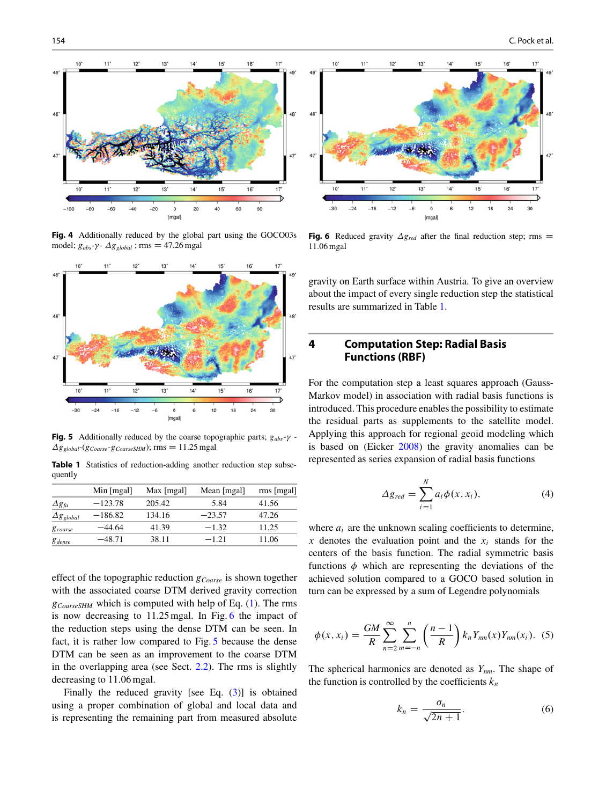

<span id="page-3-0"></span>**Fig. 4** Additionally reduced by the global part using the GOCO03s model;  $g_{abs} - \gamma - \Delta g_{global}$ ; rms = 47.26 mgal



<span id="page-3-1"></span>**Fig. 5** Additionally reduced by the coarse topographic parts;  $g_{abs} - \gamma$  - $\Delta g_{global}(g_{Coarse} - g_{CoarseSHM});$  rms = 11.25 mgal

<span id="page-3-2"></span>**Table 1** Statistics of reduction-adding another reduction step subsequently

|                            | Min $[mgal]$ | $Max$ [mgal] | Mean [mgal] | rms [mgal] |
|----------------------------|--------------|--------------|-------------|------------|
| $\Delta g_{fa}$            | $-123.78$    | 205.42       | 5.84        | 41.56      |
| $\Delta g_{global}$        | $-186.82$    | 134.16       | $-23.57$    | 47.26      |
| <i>g</i> <sub>coarse</sub> | -44.64       | 41.39        | $-1.32$     | 11.25      |
| <i>g</i> <sub>dense</sub>  | -48.71       | 38.11        | $-1.21$     | 11.06      |
|                            |              |              |             |            |

effect of the topographic reduction g*Coarse* is shown together with the associated coarse DTM derived gravity correction g*CoarseSHM* which is computed with help of Eq. [\(1\)](#page-2-0). The rms is now decreasing to 11.25 mgal. In Fig. [6](#page-3-3) the impact of the reduction steps using the dense DTM can be seen. In fact, it is rather low compared to Fig. [5](#page-3-1) because the dense DTM can be seen as an improvement to the coarse DTM in the overlapping area (see Sect.  $2.2$ ). The rms is slightly decreasing to 11.06 mgal.

Finally the reduced gravity [see Eq. [\(3\)](#page-2-1)] is obtained using a proper combination of global and local data and is representing the remaining part from measured absolute



<span id="page-3-3"></span>**Fig. 6** Reduced gravity  $\Delta g_{\text{red}}$  after the final reduction step; rms = 11.06 mgal

gravity on Earth surface within Austria. To give an overview about the impact of every single reduction step the statistical results are summarized in Table [1.](#page-3-2)

# **4 Computation Step: Radial Basis Functions (RBF)**

For the computation step a least squares approach (Gauss-Markov model) in association with radial basis functions is introduced. This procedure enables the possibility to estimate the residual parts as supplements to the satellite model. Applying this approach for regional geoid modeling which is based on (Eicker [2008\)](#page-5-14) the gravity anomalies can be represented as series expansion of radial basis functions

$$
\Delta g_{red} = \sum_{i=1}^{N} a_i \phi(x, x_i), \tag{4}
$$

where  $a_i$  are the unknown scaling coefficients to determine,  $x$  denotes the evaluation point and the  $x_i$  stands for the centers of the basis function. The radial symmetric basis functions  $\phi$  which are representing the deviations of the achieved solution compared to a GOCO based solution in turn can be expressed by a sum of Legendre polynomials

$$
\phi(x, x_i) = \frac{GM}{R} \sum_{n=2}^{\infty} \sum_{m=-n}^{n} \left( \frac{n-1}{R} \right) k_n Y_{nm}(x) Y_{nm}(x_i). \tag{5}
$$

The spherical harmonics are denoted as Y*nm*. The shape of the function is controlled by the coefficients  $k_n$ 

$$
k_n = \frac{\sigma_n}{\sqrt{2n+1}}.\tag{6}
$$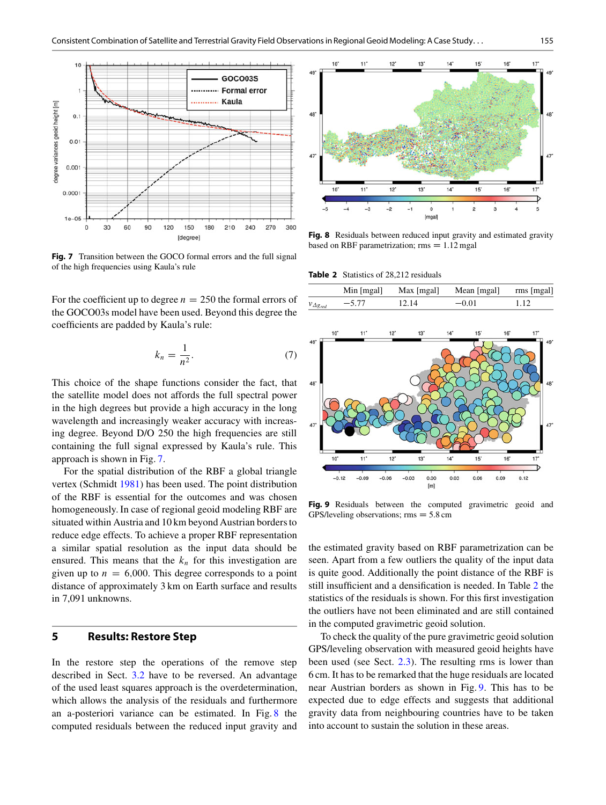

<span id="page-4-0"></span>**Fig. 7** Transition between the GOCO formal errors and the full signal of the high frequencies using Kaula's rule

For the coefficient up to degree  $n = 250$  the formal errors of the GOCO03s model have been used. Beyond this degree the coefficients are padded by Kaula's rule:

$$
k_n = \frac{1}{n^2}.\tag{7}
$$

This choice of the shape functions consider the fact, that the satellite model does not affords the full spectral power in the high degrees but provide a high accuracy in the long wavelength and increasingly weaker accuracy with increasing degree. Beyond D/O 250 the high frequencies are still containing the full signal expressed by Kaula's rule. This approach is shown in Fig. [7.](#page-4-0)

For the spatial distribution of the RBF a global triangle vertex (Schmidt [1981\)](#page-5-15) has been used. The point distribution of the RBF is essential for the outcomes and was chosen homogeneously. In case of regional geoid modeling RBF are situated within Austria and 10 km beyond Austrian borders to reduce edge effects. To achieve a proper RBF representation a similar spatial resolution as the input data should be ensured. This means that the  $k_n$  for this investigation are given up to  $n = 6,000$ . This degree corresponds to a point distance of approximately 3 km on Earth surface and results in 7,091 unknowns.

### **5 Results: Restore Step**

In the restore step the operations of the remove step described in Sect. [3.2](#page-2-3) have to be reversed. An advantage of the used least squares approach is the overdetermination, which allows the analysis of the residuals and furthermore an a-posteriori variance can be estimated. In Fig. [8](#page-4-1) the computed residuals between the reduced input gravity and



<span id="page-4-1"></span>**Fig. 8** Residuals between reduced input gravity and estimated gravity based on RBF parametrization;  $\text{rms} = 1.12 \text{ m}$  gal

<span id="page-4-2"></span>**Table 2** Statistics of 28,212 residuals





<span id="page-4-3"></span>**Fig. 9** Residuals between the computed gravimetric geoid and GPS/leveling observations;  $\text{rms} = 5.8 \text{ cm}$ 

the estimated gravity based on RBF parametrization can be seen. Apart from a few outliers the quality of the input data is quite good. Additionally the point distance of the RBF is still insufficient and a densification is needed. In Table [2](#page-4-2) the statistics of the residuals is shown. For this first investigation the outliers have not been eliminated and are still contained in the computed gravimetric geoid solution.

To check the quality of the pure gravimetric geoid solution GPS/leveling observation with measured geoid heights have been used (see Sect. [2.3\)](#page-1-4). The resulting rms is lower than 6 cm. It has to be remarked that the huge residuals are located near Austrian borders as shown in Fig. [9.](#page-4-3) This has to be expected due to edge effects and suggests that additional gravity data from neighbouring countries have to be taken into account to sustain the solution in these areas.